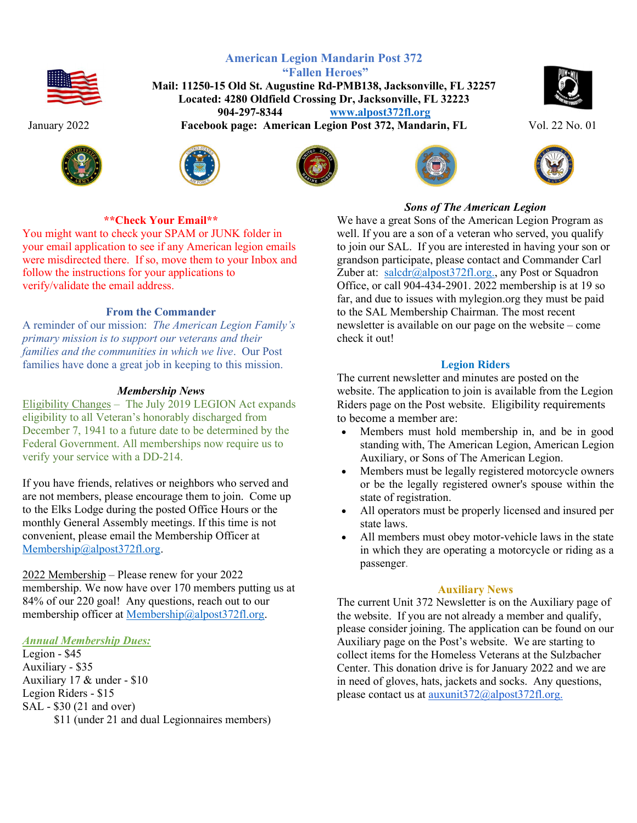



# American Legion Mandarin Post 372 "Fallen Heroes" Mail: 11250-15 Old St. Augustine Rd-PMB138, Jacksonville, FL 32257 Located: 4280 Oldfield Crossing Dr, Jacksonville, FL 32223 904-297-8344 www.alpost372fl.org January 2022 Facebook page: American Legion Post 372, Mandarin, FL Vol. 22 No. 01









# Sons of The American Legion

\*\*Check Your Email\*\* You might want to check your SPAM or JUNK folder in your email application to see if any American legion emails were misdirected there. If so, move them to your Inbox and follow the instructions for your applications to verify/validate the email address.

### From the Commander

A reminder of our mission: The American Legion Family's primary mission is to support our veterans and their families and the communities in which we live. Our Post families have done a great job in keeping to this mission.

### Membership News

Eligibility Changes – The July 2019 LEGION Act expands eligibility to all Veteran's honorably discharged from December 7, 1941 to a future date to be determined by the Federal Government. All memberships now require us to verify your service with a DD-214.

If you have friends, relatives or neighbors who served and are not members, please encourage them to join. Come up to the Elks Lodge during the posted Office Hours or the monthly General Assembly meetings. If this time is not convenient, please email the Membership Officer at Membership@alpost372fl.org.

2022 Membership – Please renew for your 2022 membership. We now have over 170 members putting us at 84% of our 220 goal! Any questions, reach out to our membership officer at Membership@alpost372fl.org.

## Annual Membership Dues:

Legion - \$45 Auxiliary - \$35 Auxiliary 17 & under - \$10 Legion Riders - \$15 SAL - \$30 (21 and over) \$11 (under 21 and dual Legionnaires members) We have a great Sons of the American Legion Program as well. If you are a son of a veteran who served, you qualify to join our SAL. If you are interested in having your son or grandson participate, please contact and Commander Carl Zuber at: salcdr@alpost372fl.org., any Post or Squadron Office, or call 904-434-2901. 2022 membership is at 19 so far, and due to issues with mylegion.org they must be paid to the SAL Membership Chairman. The most recent newsletter is available on our page on the website – come check it out!

### Legion Riders

The current newsletter and minutes are posted on the website. The application to join is available from the Legion Riders page on the Post website. Eligibility requirements to become a member are:

- Members must hold membership in, and be in good standing with, The American Legion, American Legion Auxiliary, or Sons of The American Legion.
- Members must be legally registered motorcycle owners or be the legally registered owner's spouse within the state of registration.
- All operators must be properly licensed and insured per state laws.
- All members must obey motor-vehicle laws in the state in which they are operating a motorcycle or riding as a passenger.

### Auxiliary News

The current Unit 372 Newsletter is on the Auxiliary page of the website. If you are not already a member and qualify, please consider joining. The application can be found on our Auxiliary page on the Post's website. We are starting to collect items for the Homeless Veterans at the Sulzbacher Center. This donation drive is for January 2022 and we are in need of gloves, hats, jackets and socks. Any questions, please contact us at auxunit372@alpost372fl.org.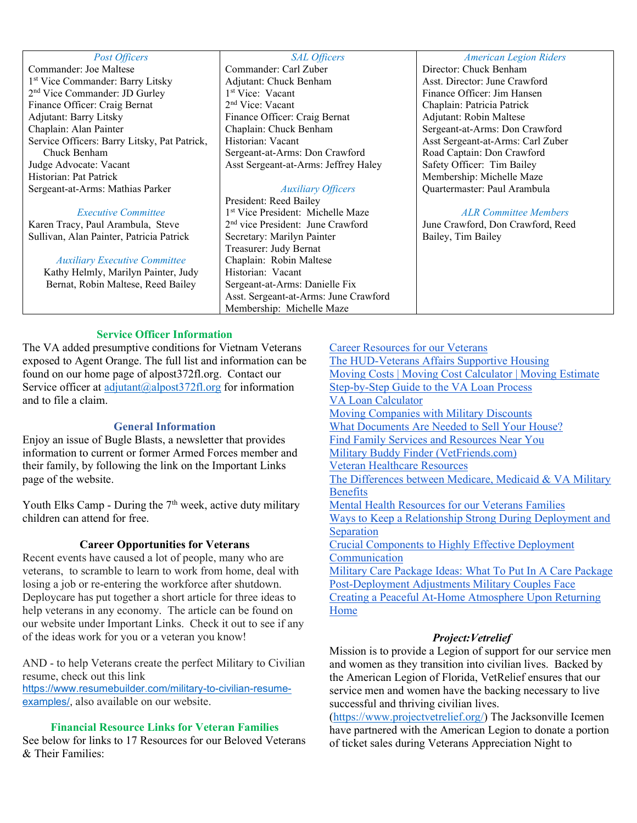#### Post Officers

Commander: Joe Maltese 1 st Vice Commander: Barry Litsky 2 nd Vice Commander: JD Gurley Finance Officer: Craig Bernat Adjutant: Barry Litsky Chaplain: Alan Painter Service Officers: Barry Litsky, Pat Patrick, Chuck Benham Judge Advocate: Vacant Historian: Pat Patrick Sergeant-at-Arms: Mathias Parker

### Executive Committee

Karen Tracy, Paul Arambula, Steve Sullivan, Alan Painter, Patricia Patrick

#### Auxiliary Executive Committee

Kathy Helmly, Marilyn Painter, Judy Bernat, Robin Maltese, Reed Bailey

#### SAL Officers

Commander: Carl Zuber Adjutant: Chuck Benham 1 st Vice: Vacant 2 nd Vice: Vacant Finance Officer: Craig Bernat Chaplain: Chuck Benham Historian: Vacant Sergeant-at-Arms: Don Crawford Asst Sergeant-at-Arms: Jeffrey Haley

### Auxiliary Officers

President: Reed Bailey 1 st Vice President: Michelle Maze 2 nd vice President: June Crawford Secretary: Marilyn Painter Treasurer: Judy Bernat Chaplain: Robin Maltese Historian: Vacant Sergeant-at-Arms: Danielle Fix Asst. Sergeant-at-Arms: June Crawford Membership: Michelle Maze

#### American Legion Riders

Director: Chuck Benham Asst. Director: June Crawford Finance Officer: Jim Hansen Chaplain: Patricia Patrick Adjutant: Robin Maltese Sergeant-at-Arms: Don Crawford Asst Sergeant-at-Arms: Carl Zuber Road Captain: Don Crawford Safety Officer: Tim Bailey Membership: Michelle Maze Quartermaster: Paul Arambula

#### ALR Committee Members

June Crawford, Don Crawford, Reed Bailey, Tim Bailey

## Service Officer Information

The VA added presumptive conditions for Vietnam Veterans exposed to Agent Orange. The full list and information can be found on our home page of alpost372fl.org. Contact our Service officer at adjutant@alpost372fl.org for information and to file a claim.

### General Information

Enjoy an issue of Bugle Blasts, a newsletter that provides information to current or former Armed Forces member and their family, by following the link on the Important Links page of the website.

Youth Elks Camp - During the  $7<sup>th</sup>$  week, active duty military children can attend for free.

#### Career Opportunities for Veterans

Recent events have caused a lot of people, many who are veterans, to scramble to learn to work from home, deal with losing a job or re-entering the workforce after shutdown. Deploycare has put together a short article for three ideas to help veterans in any economy. The article can be found on our website under Important Links. Check it out to see if any of the ideas work for you or a veteran you know!

AND - to help Veterans create the perfect Military to Civilian resume, check out this link https://www.resumebuilder.com/military-to-civilian-resumeexamples/, also available on our website.

## Financial Resource Links for Veteran Families

See below for links to 17 Resources for our Beloved Veterans & Their Families:

Career Resources for our Veterans The HUD-Veterans Affairs Supportive Housing Moving Costs | Moving Cost Calculator | Moving Estimate Step-by-Step Guide to the VA Loan Process VA Loan Calculator Moving Companies with Military Discounts What Documents Are Needed to Sell Your House? Find Family Services and Resources Near You Military Buddy Finder (VetFriends.com) Veteran Healthcare Resources The Differences between Medicare, Medicaid & VA Military **Benefits** Mental Health Resources for our Veterans Families Ways to Keep a Relationship Strong During Deployment and Separation Crucial Components to Highly Effective Deployment Communication Military Care Package Ideas: What To Put In A Care Package Post-Deployment Adjustments Military Couples Face Creating a Peaceful At-Home Atmosphere Upon Returning Home

### Project:Vetrelief

Mission is to provide a Legion of support for our service men and women as they transition into civilian lives. Backed by the American Legion of Florida, VetRelief ensures that our service men and women have the backing necessary to live successful and thriving civilian lives.

(https://www.projectvetrelief.org/) The Jacksonville Icemen have partnered with the American Legion to donate a portion of ticket sales during Veterans Appreciation Night to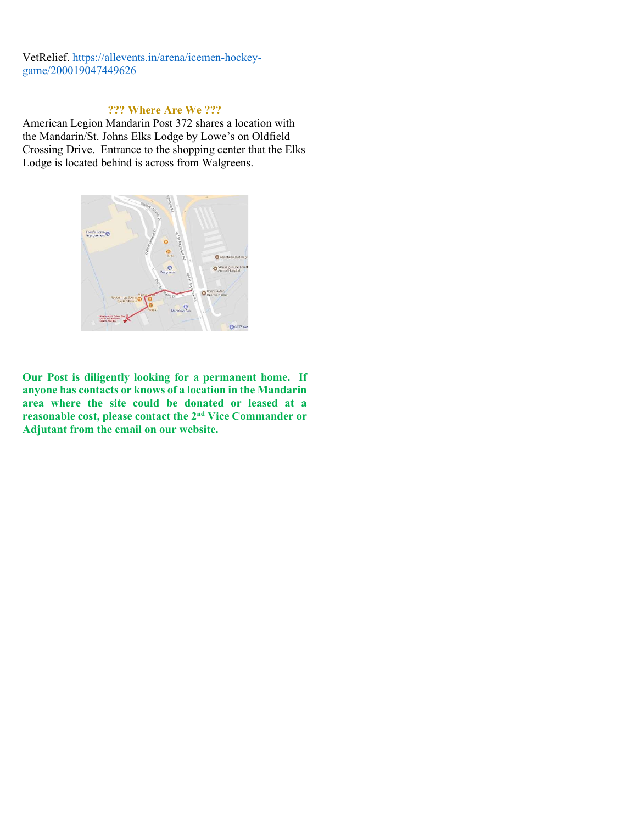VetRelief. https://allevents.in/arena/icemen-hockeygame/200019047449626

### ??? Where Are We ???

American Legion Mandarin Post 372 shares a location with the Mandarin/St. Johns Elks Lodge by Lowe's on Oldfield Crossing Drive. Entrance to the shopping center that the Elks Lodge is located behind is across from Walgreens.



Our Post is diligently looking for a permanent home. If anyone has contacts or knows of a location in the Mandarin area where the site could be donated or leased at a reasonable cost, please contact the 2nd Vice Commander or Adjutant from the email on our website.